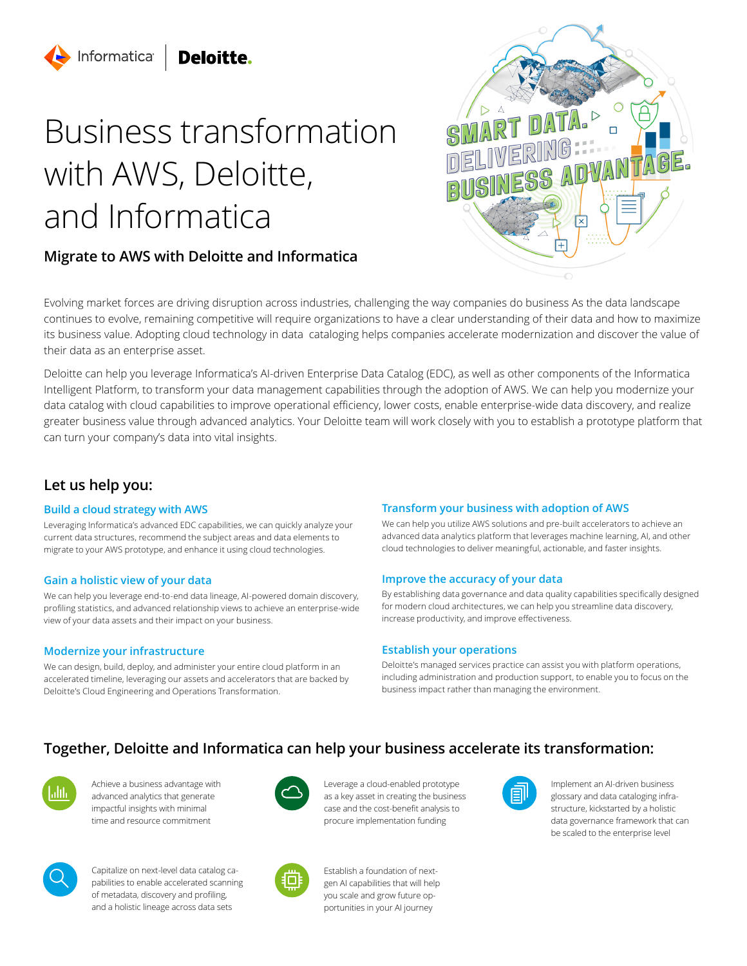# Deloitte.

Informatica

# Business transformation with AWS, Deloitte, and Informatica

# **Migrate to AWS with Deloitte and Informatica**



Evolving market forces are driving disruption across industries, challenging the way companies do business As the data landscape continues to evolve, remaining competitive will require organizations to have a clear understanding of their data and how to maximize its business value. Adopting cloud technology in data cataloging helps companies accelerate modernization and discover the value of their data as an enterprise asset.

Deloitte can help you leverage Informatica's AI-driven Enterprise Data Catalog (EDC), as well as other components of the Informatica Intelligent Platform, to transform your data management capabilities through the adoption of AWS. We can help you modernize your data catalog with cloud capabilities to improve operational efficiency, lower costs, enable enterprise-wide data discovery, and realize greater business value through advanced analytics. Your Deloitte team will work closely with you to establish a prototype platform that can turn your company's data into vital insights.

# **Let us help you:**

## **Build a cloud strategy with AWS**

Leveraging Informatica's advanced EDC capabilities, we can quickly analyze your current data structures, recommend the subject areas and data elements to migrate to your AWS prototype, and enhance it using cloud technologies.

## **Gain a holistic view of your data**

We can help you leverage end-to-end data lineage, AI-powered domain discovery, profiling statistics, and advanced relationship views to achieve an enterprise-wide view of your data assets and their impact on your business.

## **Modernize your infrastructure**

We can design, build, deploy, and administer your entire cloud platform in an accelerated timeline, leveraging our assets and accelerators that are backed by Deloitte's Cloud Engineering and Operations Transformation.

## **Transform your business with adoption of AWS**

We can help you utilize AWS solutions and pre-built accelerators to achieve an advanced data analytics platform that leverages machine learning, AI, and other cloud technologies to deliver meaningful, actionable, and faster insights.

## **Improve the accuracy of your data**

By establishing data governance and data quality capabilities specifically designed for modern cloud architectures, we can help you streamline data discovery, increase productivity, and improve effectiveness.

## **Establish your operations**

Deloitte's managed services practice can assist you with platform operations, including administration and production support, to enable you to focus on the business impact rather than managing the environment.

# **Together, Deloitte and Informatica can help your business accelerate its transformation:**

Achieve a business advantage with advanced analytics that generate impactful insights with minimal time and resource commitment



Leverage a cloud-enabled prototype as a key asset in creating the business case and the cost-benefit analysis to procure implementation funding



Establish a foundation of next-



Implement an AI-driven business glossary and data cataloging infrastructure, kickstarted by a holistic data governance framework that can be scaled to the enterprise level



Capitalize on next-level data catalog capabilities to enable accelerated scanning of metadata, discovery and profiling, and a holistic lineage across data sets

gen AI capabilities that will help you scale and grow future opportunities in your AI journey